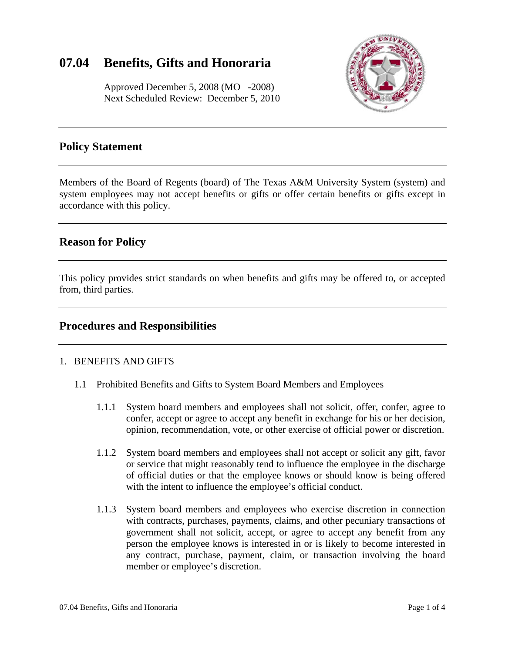# **07.04 Benefits, Gifts and Honoraria**

 Approved December 5, 2008 (MO -2008) Next Scheduled Review: December 5, 2010



## **Policy Statement**

Members of the Board of Regents (board) of The Texas A&M University System (system) and system employees may not accept benefits or gifts or offer certain benefits or gifts except in accordance with this policy.

## **Reason for Policy**

This policy provides strict standards on when benefits and gifts may be offered to, or accepted from, third parties.

### **Procedures and Responsibilities**

#### 1. BENEFITS AND GIFTS

- 1.1 Prohibited Benefits and Gifts to System Board Members and Employees
	- 1.1.1 System board members and employees shall not solicit, offer, confer, agree to confer, accept or agree to accept any benefit in exchange for his or her decision, opinion, recommendation, vote, or other exercise of official power or discretion.
	- with the intent to influence the employee's official conduct. 1.1.2 System board members and employees shall not accept or solicit any gift, favor or service that might reasonably tend to influence the employee in the discharge of official duties or that the employee knows or should know is being offered
	- 1.1.3 System board members and employees who exercise discretion in connection with contracts, purchases, payments, claims, and other pecuniary transactions of government shall not solicit, accept, or agree to accept any benefit from any person the employee knows is interested in or is likely to become interested in any contract, purchase, payment, claim, or transaction involving the board member or employee's discretion.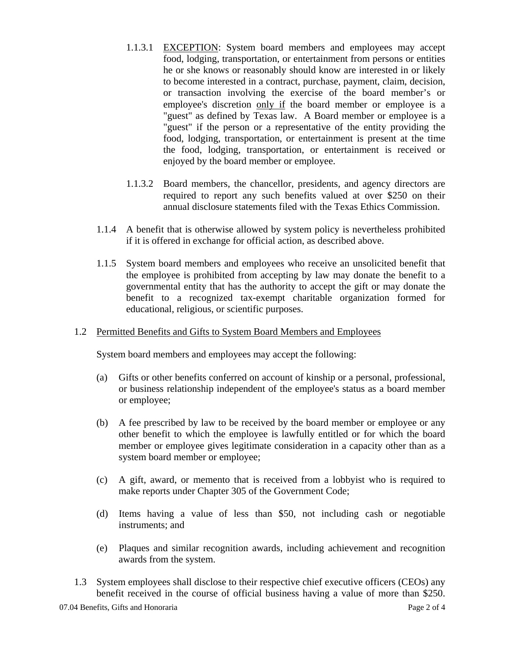- 1.1.3.1 EXCEPTION: System board members and employees may accept food, lodging, transportation, or entertainment from persons or entities he or she knows or reasonably should know are interested in or likely to become interested in a contract, purchase, payment, claim, decision, or transaction involving the exercise of the board member's or employee's discretion only if the board member or employee is a "guest" as defined by Texas law. A Board member or employee is a "guest" if the person or a representative of the entity providing the food, lodging, transportation, or entertainment is present at the time the food, lodging, transportation, or entertainment is received or enjoyed by the board member or employee.
- 1.1.3.2 Board members, the chancellor, presidents, and agency directors are required to report any such benefits valued at over \$250 on their annual disclosure statements filed with the Texas Ethics Commission.
- 1.1.4 A benefit that is otherwise allowed by system policy is nevertheless prohibited if it is offered in exchange for official action, as described above.
- 1.1.5 System board members and employees who receive an unsolicited benefit that the employee is prohibited from accepting by law may donate the benefit to a governmental entity that has the authority to accept the gift or may donate the benefit to a recognized tax-exempt charitable organization formed for educational, religious, or scientific purposes.

#### 1.2 Permitted Benefits and Gifts to System Board Members and Employees

System board members and employees may accept the following:

- (a) Gifts or other benefits conferred on account of kinship or a personal, professional, or business relationship independent of the employee's status as a board member or employee;
- (b) A fee prescribed by law to be received by the board member or employee or any other benefit to which the employee is lawfully entitled or for which the board member or employee gives legitimate consideration in a capacity other than as a system board member or employee;
- (c) A gift, award, or memento that is received from a lobbyist who is required to make reports under Chapter 305 of the Government Code;
- (d) Items having a value of less than \$50, not including cash or negotiable instruments; and
- (e) Plaques and similar recognition awards, including achievement and recognition awards from the system.
- 1.3 System employees shall disclose to their respective chief executive officers (CEOs) any benefit received in the course of official business having a value of more than \$250.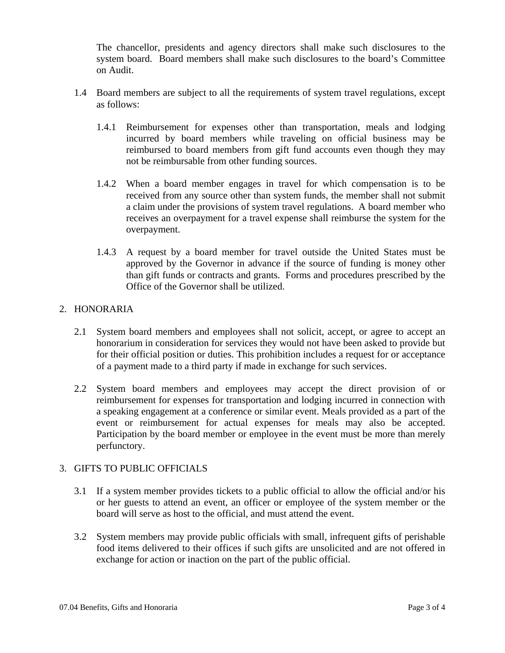The chancellor, presidents and agency directors shall make such disclosures to the system board. Board members shall make such disclosures to the board's Committee on Audit.

- as follows: 1.4 Board members are subject to all the requirements of system travel regulations, except
	- 1.4.1 Reimbursement for expenses other than transportation, meals and lodging incurred by board members while traveling on official business may be reimbursed to board members from gift fund accounts even though they may not be reimbursable from other funding sources.
	- 1.4.2 When a board member engages in travel for which compensation is to be received from any source other than system funds, the member shall not submit a claim under the provisions of system travel regulations. A board member who receives an overpayment for a travel expense shall reimburse the system for the overpayment.
	- 1.4.3 A request by a board member for travel outside the United States must be approved by the Governor in advance if the source of funding is money other than gift funds or contracts and grants. Forms and procedures prescribed by the Office of the Governor shall be utilized.

#### 2. HONORARIA

- 2.1 System board members and employees shall not solicit, accept, or agree to accept an honorarium in consideration for services they would not have been asked to provide but for their official position or duties. This prohibition includes a request for or acceptance of a payment made to a third party if made in exchange for such services.
- 2.2 System board members and employees may accept the direct provision of or reimbursement for expenses for transportation and lodging incurred in connection with a speaking engagement at a conference or similar event. Meals provided as a part of the event or reimbursement for actual expenses for meals may also be accepted. Participation by the board member or employee in the event must be more than merely perfunctory.

#### 3. GIFTS TO PUBLIC OFFICIALS

- 3.1 If a system member provides tickets to a public official to allow the official and/or his or her guests to attend an event, an officer or employee of the system member or the board will serve as host to the official, and must attend the event.
- 3.2 System members may provide public officials with small, infrequent gifts of perishable food items delivered to their offices if such gifts are unsolicited and are not offered in exchange for action or inaction on the part of the public official.